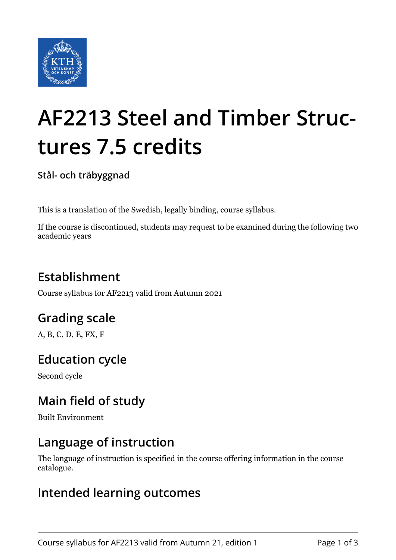

# **AF2213 Steel and Timber Structures 7.5 credits**

**Stål- och träbyggnad**

This is a translation of the Swedish, legally binding, course syllabus.

If the course is discontinued, students may request to be examined during the following two academic years

# **Establishment**

Course syllabus for AF2213 valid from Autumn 2021

# **Grading scale**

A, B, C, D, E, FX, F

# **Education cycle**

Second cycle

# **Main field of study**

Built Environment

## **Language of instruction**

The language of instruction is specified in the course offering information in the course catalogue.

#### **Intended learning outcomes**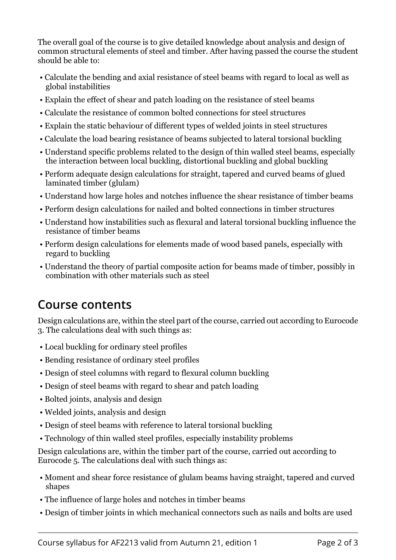The overall goal of the course is to give detailed knowledge about analysis and design of common structural elements of steel and timber. After having passed the course the student should be able to:

- Calculate the bending and axial resistance of steel beams with regard to local as well as global instabilities
- Explain the effect of shear and patch loading on the resistance of steel beams
- Calculate the resistance of common bolted connections for steel structures
- Explain the static behaviour of different types of welded joints in steel structures
- Calculate the load bearing resistance of beams subjected to lateral torsional buckling
- Understand specific problems related to the design of thin walled steel beams, especially the interaction between local buckling, distortional buckling and global buckling
- Perform adequate design calculations for straight, tapered and curved beams of glued laminated timber (glulam)
- Understand how large holes and notches influence the shear resistance of timber beams
- Perform design calculations for nailed and bolted connections in timber structures
- Understand how instabilities such as flexural and lateral torsional buckling influence the resistance of timber beams
- Perform design calculations for elements made of wood based panels, especially with regard to buckling
- Understand the theory of partial composite action for beams made of timber, possibly in combination with other materials such as steel

## **Course contents**

Design calculations are, within the steel part of the course, carried out according to Eurocode 3. The calculations deal with such things as:

- Local buckling for ordinary steel profiles
- Bending resistance of ordinary steel profiles
- Design of steel columns with regard to flexural column buckling
- Design of steel beams with regard to shear and patch loading
- Bolted joints, analysis and design
- Welded joints, analysis and design
- Design of steel beams with reference to lateral torsional buckling
- Technology of thin walled steel profiles, especially instability problems

Design calculations are, within the timber part of the course, carried out according to Eurocode 5. The calculations deal with such things as:

- Moment and shear force resistance of glulam beams having straight, tapered and curved shapes
- The influence of large holes and notches in timber beams
- Design of timber joints in which mechanical connectors such as nails and bolts are used